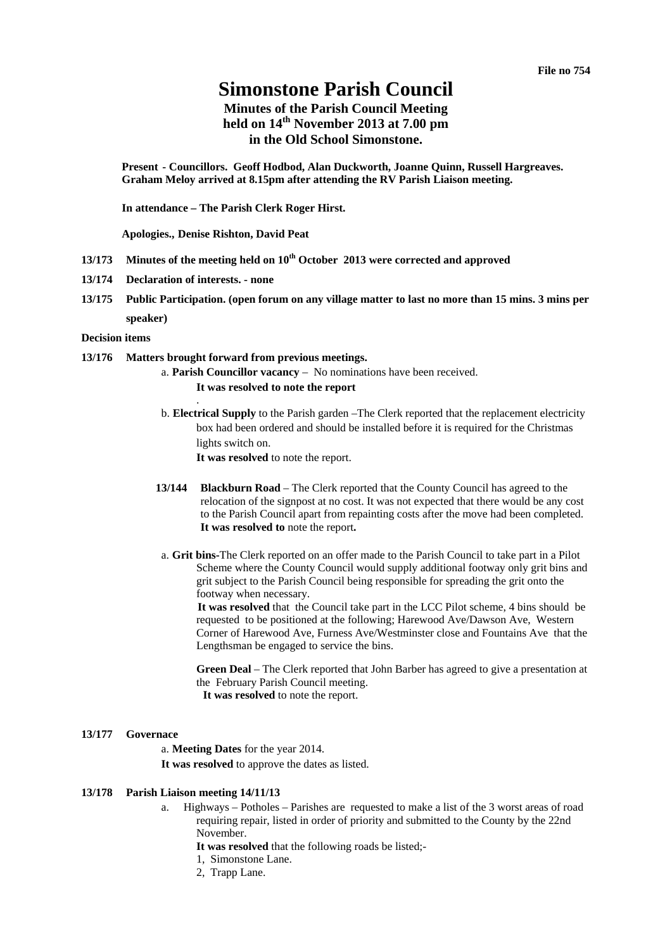# **Simonstone Parish Council**

## **Minutes of the Parish Council Meeting held on 14th November 2013 at 7.00 pm in the Old School Simonstone.**

**Present - Councillors. Geoff Hodbod, Alan Duckworth, Joanne Quinn, Russell Hargreaves. Graham Meloy arrived at 8.15pm after attending the RV Parish Liaison meeting.** 

**In attendance – The Parish Clerk Roger Hirst.** 

**Apologies., Denise Rishton, David Peat**

- **13/173 Minutes of the meeting held on 10th October 2013 were corrected and approved**
- **13/174 Declaration of interests. none**
- **13/175 Public Participation. (open forum on any village matter to last no more than 15 mins. 3 mins per speaker)**

#### **Decision items**

#### **13/176 Matters brought forward from previous meetings.**

.

- a. **Parish Councillor vacancy** No nominations have been received. **It was resolved to note the report**
- b. **Electrical Supply** to the Parish garden –The Clerk reported that the replacement electricity box had been ordered and should be installed before it is required for the Christmas lights switch on. **It was resolved** to note the report.
- **13/144 Blackburn Road** The Clerk reported that the County Council has agreed to the relocation of the signpost at no cost. It was not expected that there would be any cost to the Parish Council apart from repainting costs after the move had been completed. **It was resolved to** note the report**.**
- a. **Grit bins-**The Clerk reported on an offer made to the Parish Council to take part in a Pilot Scheme where the County Council would supply additional footway only grit bins and grit subject to the Parish Council being responsible for spreading the grit onto the footway when necessary.

**It was resolved** that the Council take part in the LCC Pilot scheme, 4 bins should be requested to be positioned at the following; Harewood Ave/Dawson Ave, Western Corner of Harewood Ave, Furness Ave/Westminster close and Fountains Ave that the Lengthsman be engaged to service the bins.

**Green Deal** – The Clerk reported that John Barber has agreed to give a presentation at the February Parish Council meeting.  **It was resolved** to note the report.

#### **13/177 Governace**

a. **Meeting Dates** for the year 2014. **It was resolved** to approve the dates as listed.

#### **13/178 Parish Liaison meeting 14/11/13**

- a. Highways Potholes Parishes are requested to make a list of the 3 worst areas of road requiring repair, listed in order of priority and submitted to the County by the 22nd November.
	- **It was resolved** that the following roads be listed;-
	- 1, Simonstone Lane.
	- 2, Trapp Lane.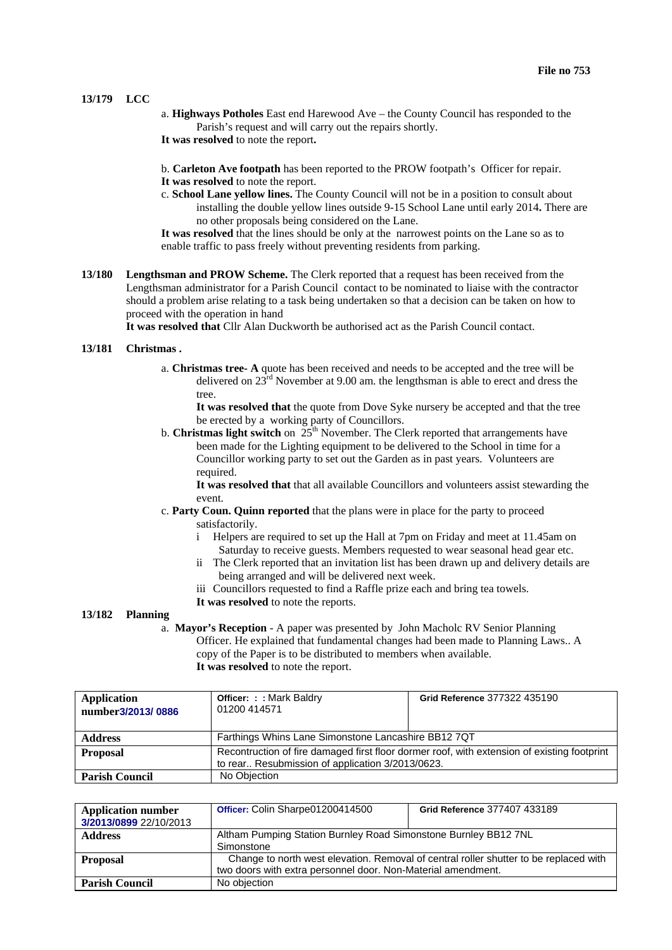#### **13/179 LCC**

- a. **Highways Potholes** East end Harewood Ave the County Council has responded to the Parish's request and will carry out the repairs shortly.
- **It was resolved** to note the report**.**
- b. **Carleton Ave footpath** has been reported to the PROW footpath's Officer for repair.
- **It was resolved** to note the report.
- c. **School Lane yellow lines.** The County Council will not be in a position to consult about installing the double yellow lines outside 9-15 School Lane until early 2014**.** There are no other proposals being considered on the Lane.
- **It was resolved** that the lines should be only at the narrowest points on the Lane so as to enable traffic to pass freely without preventing residents from parking.
- **13/180 Lengthsman and PROW Scheme.** The Clerk reported that a request has been received from the Lengthsman administrator for a Parish Council contact to be nominated to liaise with the contractor should a problem arise relating to a task being undertaken so that a decision can be taken on how to proceed with the operation in hand

**It was resolved that** Cllr Alan Duckworth be authorised act as the Parish Council contact.

#### **13/181 Christmas .**

a. **Christmas tree- A** quote has been received and needs to be accepted and the tree will be delivered on 23rd November at 9.00 am. the lengthsman is able to erect and dress the tree.

**It was resolved that** the quote from Dove Syke nursery be accepted and that the tree be erected by a working party of Councillors.

b. **Christmas light switch** on 25<sup>th</sup> November. The Clerk reported that arrangements have been made for the Lighting equipment to be delivered to the School in time for a Councillor working party to set out the Garden as in past years. Volunteers are required.

**It was resolved that** that all available Councillors and volunteers assist stewarding the event.

- c. **Party Coun. Quinn reported** that the plans were in place for the party to proceed satisfactorily.
	- i Helpers are required to set up the Hall at 7pm on Friday and meet at 11.45am on Saturday to receive guests. Members requested to wear seasonal head gear etc.
	- ii The Clerk reported that an invitation list has been drawn up and delivery details are being arranged and will be delivered next week.
	- iii Councillors requested to find a Raffle prize each and bring tea towels.
	- **It was resolved** to note the reports.

### **13/182 Planning**

a. **Mayor's Reception** - A paper was presented by John Macholc RV Senior Planning Officer. He explained that fundamental changes had been made to Planning Laws.. A copy of the Paper is to be distributed to members when available. **It was resolved** to note the report.

| <b>Application</b><br>number3/2013/0886 | <b>Officer: :: Mark Baldry</b><br>01200 414571                                                                                                  | Grid Reference 377322 435190 |  |
|-----------------------------------------|-------------------------------------------------------------------------------------------------------------------------------------------------|------------------------------|--|
| <b>Address</b>                          | Farthings Whins Lane Simonstone Lancashire BB12 7QT                                                                                             |                              |  |
| <b>Proposal</b>                         | Recontruction of fire damaged first floor dormer roof, with extension of existing footprint<br>to rear Resubmission of application 3/2013/0623. |                              |  |
| <b>Parish Council</b>                   | No Objection                                                                                                                                    |                              |  |

| <b>Application number</b> | Officer: Colin Sharpe01200414500                                                      | Grid Reference 377407 433189 |  |
|---------------------------|---------------------------------------------------------------------------------------|------------------------------|--|
| 3/2013/0899 22/10/2013    |                                                                                       |                              |  |
| <b>Address</b>            | Altham Pumping Station Burnley Road Simonstone Burnley BB12 7NL                       |                              |  |
|                           | Simonstone                                                                            |                              |  |
| <b>Proposal</b>           | Change to north west elevation. Removal of central roller shutter to be replaced with |                              |  |
|                           | two doors with extra personnel door. Non-Material amendment.                          |                              |  |
| <b>Parish Council</b>     | No objection                                                                          |                              |  |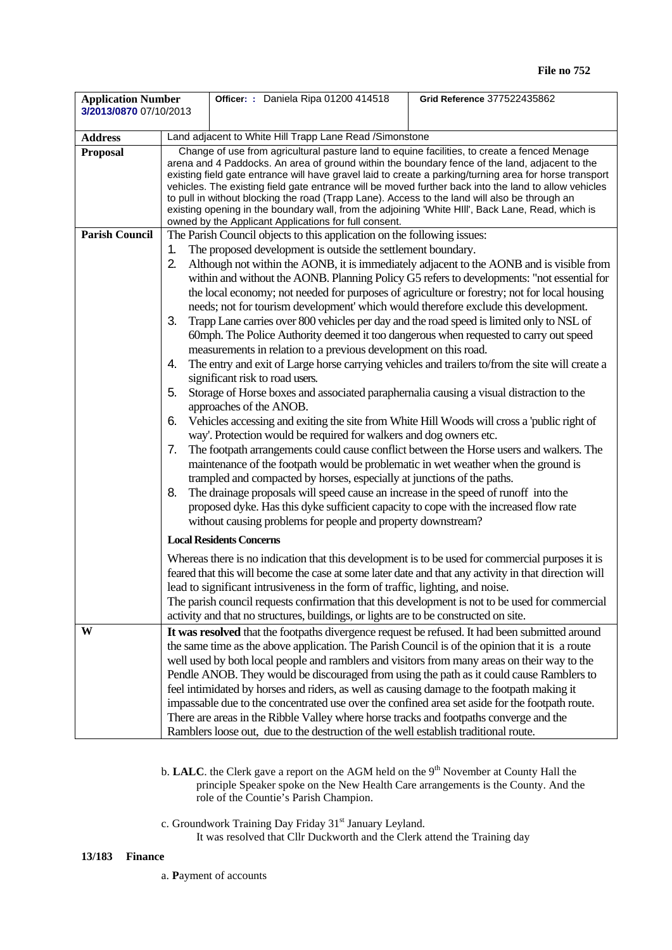| <b>Application Number</b><br>3/2013/0870 07/10/2013 |                                                                                                  | Officer: : Daniela Ripa 01200 414518                                                                                                                                                                                                                                                                                                                                                                                                                                                                                                                                                                                                                                                                                                                                                                                                                                                                                                                                                                                                                                                                                                                                                                                                                                                                                                                                                                                                                                                                                                                                                                                                                                                                                                                                                                                                                                                                                                                                | Grid Reference 377522435862 |  |  |
|-----------------------------------------------------|--------------------------------------------------------------------------------------------------|---------------------------------------------------------------------------------------------------------------------------------------------------------------------------------------------------------------------------------------------------------------------------------------------------------------------------------------------------------------------------------------------------------------------------------------------------------------------------------------------------------------------------------------------------------------------------------------------------------------------------------------------------------------------------------------------------------------------------------------------------------------------------------------------------------------------------------------------------------------------------------------------------------------------------------------------------------------------------------------------------------------------------------------------------------------------------------------------------------------------------------------------------------------------------------------------------------------------------------------------------------------------------------------------------------------------------------------------------------------------------------------------------------------------------------------------------------------------------------------------------------------------------------------------------------------------------------------------------------------------------------------------------------------------------------------------------------------------------------------------------------------------------------------------------------------------------------------------------------------------------------------------------------------------------------------------------------------------|-----------------------------|--|--|
|                                                     |                                                                                                  |                                                                                                                                                                                                                                                                                                                                                                                                                                                                                                                                                                                                                                                                                                                                                                                                                                                                                                                                                                                                                                                                                                                                                                                                                                                                                                                                                                                                                                                                                                                                                                                                                                                                                                                                                                                                                                                                                                                                                                     |                             |  |  |
| <b>Address</b>                                      |                                                                                                  |                                                                                                                                                                                                                                                                                                                                                                                                                                                                                                                                                                                                                                                                                                                                                                                                                                                                                                                                                                                                                                                                                                                                                                                                                                                                                                                                                                                                                                                                                                                                                                                                                                                                                                                                                                                                                                                                                                                                                                     |                             |  |  |
| <b>Proposal</b><br><b>Parish Council</b>            | 1.<br>2.<br>3.<br>4.<br>5.<br>6.                                                                 | Land adjacent to White Hill Trapp Lane Read /Simonstone<br>Change of use from agricultural pasture land to equine facilities, to create a fenced Menage<br>arena and 4 Paddocks. An area of ground within the boundary fence of the land, adjacent to the<br>existing field gate entrance will have gravel laid to create a parking/turning area for horse transport<br>vehicles. The existing field gate entrance will be moved further back into the land to allow vehicles<br>to pull in without blocking the road (Trapp Lane). Access to the land will also be through an<br>existing opening in the boundary wall, from the adjoining 'White HIII', Back Lane, Read, which is<br>owned by the Applicant Applications for full consent.<br>The Parish Council objects to this application on the following issues:<br>The proposed development is outside the settlement boundary.<br>Although not within the AONB, it is immediately adjacent to the AONB and is visible from<br>within and without the AONB. Planning Policy G5 refers to developments: "not essential for<br>the local economy; not needed for purposes of agriculture or forestry; not for local housing<br>needs; not for tourism development' which would therefore exclude this development.<br>Trapp Lane carries over 800 vehicles per day and the road speed is limited only to NSL of<br>60mph. The Police Authority deemed it too dangerous when requested to carry out speed<br>measurements in relation to a previous development on this road.<br>The entry and exit of Large horse carrying vehicles and trailers to/from the site will create a<br>significant risk to road users.<br>Storage of Horse boxes and associated paraphernalia causing a visual distraction to the<br>approaches of the ANOB.<br>Vehicles accessing and exiting the site from White Hill Woods will cross a 'public right of<br>way'. Protection would be required for walkers and dog owners etc. |                             |  |  |
|                                                     | 7.<br>8.                                                                                         | The footpath arrangements could cause conflict between the Horse users and walkers. The<br>maintenance of the footpath would be problematic in wet weather when the ground is<br>trampled and compacted by horses, especially at junctions of the paths.<br>The drainage proposals will speed cause an increase in the speed of runoff into the<br>proposed dyke. Has this dyke sufficient capacity to cope with the increased flow rate<br>without causing problems for people and property downstream?<br><b>Local Residents Concerns</b>                                                                                                                                                                                                                                                                                                                                                                                                                                                                                                                                                                                                                                                                                                                                                                                                                                                                                                                                                                                                                                                                                                                                                                                                                                                                                                                                                                                                                         |                             |  |  |
|                                                     | Whereas there is no indication that this development is to be used for commercial purposes it is |                                                                                                                                                                                                                                                                                                                                                                                                                                                                                                                                                                                                                                                                                                                                                                                                                                                                                                                                                                                                                                                                                                                                                                                                                                                                                                                                                                                                                                                                                                                                                                                                                                                                                                                                                                                                                                                                                                                                                                     |                             |  |  |
|                                                     |                                                                                                  | feared that this will become the case at some later date and that any activity in that direction will<br>lead to significant intrusiveness in the form of traffic, lighting, and noise.<br>The parish council requests confirmation that this development is not to be used for commercial<br>activity and that no structures, buildings, or lights are to be constructed on site.                                                                                                                                                                                                                                                                                                                                                                                                                                                                                                                                                                                                                                                                                                                                                                                                                                                                                                                                                                                                                                                                                                                                                                                                                                                                                                                                                                                                                                                                                                                                                                                  |                             |  |  |
| W                                                   |                                                                                                  | It was resolved that the footpaths divergence request be refused. It had been submitted around<br>the same time as the above application. The Parish Council is of the opinion that it is a route<br>well used by both local people and ramblers and visitors from many areas on their way to the<br>Pendle ANOB. They would be discouraged from using the path as it could cause Ramblers to<br>feel intimidated by horses and riders, as well as causing damage to the footpath making it<br>impassable due to the concentrated use over the confined area set aside for the footpath route.<br>There are areas in the Ribble Valley where horse tracks and footpaths converge and the<br>Ramblers loose out, due to the destruction of the well establish traditional route.                                                                                                                                                                                                                                                                                                                                                                                                                                                                                                                                                                                                                                                                                                                                                                                                                                                                                                                                                                                                                                                                                                                                                                                     |                             |  |  |

- b. **LALC**. the Clerk gave a report on the AGM held on the 9<sup>th</sup> November at County Hall the principle Speaker spoke on the New Health Care arrangements is the County. And the role of the Countie's Parish Champion.
- c. Groundwork Training Day Friday 31<sup>st</sup> January Leyland. It was resolved that Cllr Duckworth and the Clerk attend the Training day

## **13/183 Finance**

a. **P**ayment of accounts